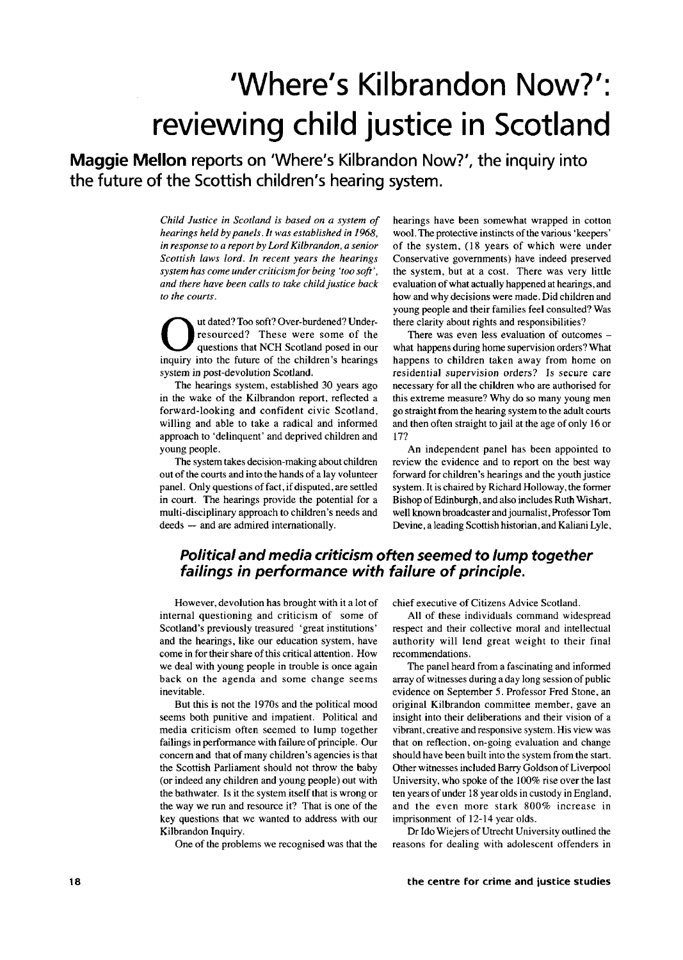## 'Where's Kilbrandon Now?': reviewing child justice in Scotland

**Maggie Mellon** reports on 'Where's Kilbrandon Now?', the inquiry into the future of the Scottish children's hearing system.

> *Child Justice in Scotland is based on a system of hearings held by panels .It was established in 1968, in response to a report by Lord Kilbrandon, a senior Scottish laws lord. In recent years the hearings system has come under criticism for being 'too soft', and there have been calls to take child justice back to the courts.*

> **OUT ACCE** These were some of the questions that NCH Scotland posed in our inquiry into the future of the children's hearings resourced? These were some of the inquiry into the future of the children's hearings system in post-devolution Scotland.

> The hearings system, established 30 years ago in the wake of the Kilbrandon report, reflected a forward-looking and confident civic Scotland, willing and able to take a radical and informed approach to 'delinquent' and deprived children and young people.

> The system takes decision-making about children out of the courts and into the hands of a lay volunteer panel. Only questions of fact, if disputed, are settled in court. The hearings provide the potential for a multi-disciplinary approach to children's needs and deeds — and are admired internationally.

hearings have been somewhat wrapped in cotton wool. The protective instincts of the various 'keepers' of the system, (18 years of which were under Conservative governments) have indeed preserved the system, but at a cost. There was very little evaluation of what actually happened at hearings, and how and why decisions were made. Did children and young people and their families feel consulted? Was there clarity about rights and responsibilities?

There was even less evaluation of outcomes what happens during home supervision orders? What happens to children taken away from home on residential supervision orders? Is secure care necessary for all the children who are authorised for this extreme measure? Why do so many young men go straight from the hearing system to the adult courts and then often straight to jail at the age of only 16 or 17?

An independent panel has been appointed to review the evidence and to report on the best way forward for children's hearings and the youth justice system. It is chaired by Richard Holloway, the former Bishop of Edinburgh, and also includes Ruth Wishart, well known broadcaster and journalist, Professor Tom Devine, a leading Scottish historian, and Kaliani Lyle,

## Political and media criticism often seemed to lump together failings in performance with failure of principle.

However, devolution has brought with it a lot of internal questioning and criticism of some of Scotland's previously treasured 'great institutions' and the hearings, like our education system, have come in for their share of this critical attention. How we deal with young people in trouble is once again back on the agenda and some change seems inevitable.

But this is not the 1970s and the political mood seems both punitive and impatient. Political and media criticism often seemed to lump together failings in performance with failure of principle. Our concern and that of many children's agencies is that the Scottish Parliament should not throw the baby (or indeed any children and young people) out with the bathwater. Is it the system itself that is wrong or the way we run and resource it? That is one of the key questions that we wanted to address with our Kilbrandon Inquiry.

One of the problems we recognised was that the

chief executive of Citizens Advice Scotland.

All of these individuals command widespread respect and their collective moral and intellectual authority will lend great weight to their final recommendations.

The panel heard from a fascinating and informed array of witnesses during a day long session of public evidence on September 5. Professor Fred Stone, an original Kilbrandon committee member, gave an insight into their deliberations and their vision of a vibrant, creative and responsive system. His view was that on reflection, on-going evaluation and change should have been built into the system from the start. Other witnesses included Barry Goldson of Liverpool University, who spoke of the 100% rise over the last ten years of under 18 year olds in custody in England, and the even more stark 800% increase in imprisonment of 12-14 year olds.

Dr Ido Wiejers of Utrecht University outlined the reasons for dealing with adolescent offenders in